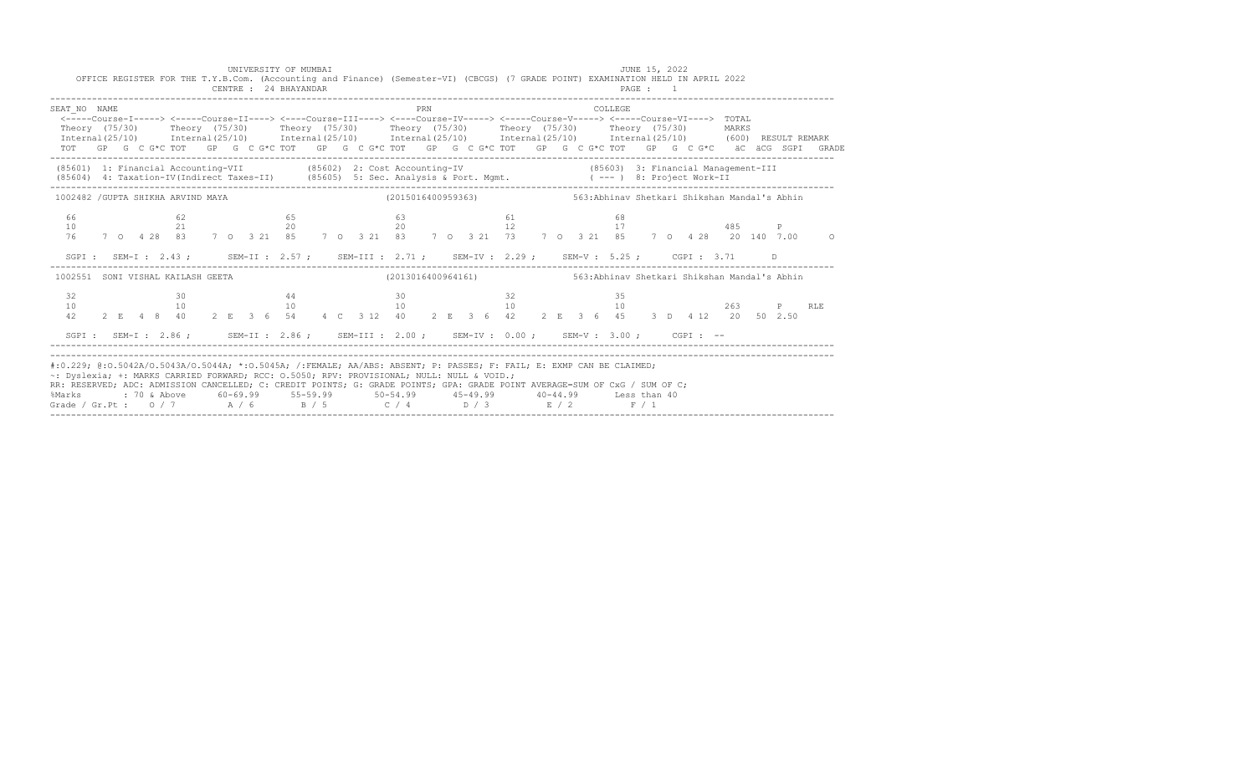|                                                                                                                                                                                                                                                                                                                                                                                                                                                                                                           |  |  |          |  |  | CENTRE : 24 BHAYANDAR |  |  |  |     |  |  | OFFICE REGISTER FOR THE T.Y.B.Com. (Accounting and Finance) (Semester-VI) (CBCGS) (7 GRADE POINT) EXAMINATION HELD IN APRIL 2022 |  |  |         | PAGE : 1 |  |  |  |    |                                                                                                             |
|-----------------------------------------------------------------------------------------------------------------------------------------------------------------------------------------------------------------------------------------------------------------------------------------------------------------------------------------------------------------------------------------------------------------------------------------------------------------------------------------------------------|--|--|----------|--|--|-----------------------|--|--|--|-----|--|--|----------------------------------------------------------------------------------------------------------------------------------|--|--|---------|----------|--|--|--|----|-------------------------------------------------------------------------------------------------------------|
| SEAT NO NAME<br><-----Course-T-----> <-----Course-TT----> <----Course-TT----> <----Course-TV-----> <-----Course-V-----> <-----Course-VT----> TOTAL<br>Theory (75/30) Theory (75/30) Theory (75/30) Theory (75/30) Theory (75/30) Theory (75/30) MARKS<br>$International (25/10)$ $International (25/10)$ $International (25/10)$ $International (25/10)$ $International (25/10)$ $International (25/10)$ $International (25/10)$ (600) RESULT REMARK                                                      |  |  |          |  |  |                       |  |  |  | PRN |  |  |                                                                                                                                  |  |  | COLLEGE |          |  |  |  |    | TOT GP G C G*C TOT GP G C G*C TOT GP G C G*C TOT GP G C G*C TOT GP G C G*C TOT GP G C G*C äC äCG SGPI GRADE |
| (85601) 1: Financial Accounting-VII (85602) 2: Cost Accounting-IV (85603) 3: Financial Management-III (85604) 4: Taxation-IV(Indirect Taxes-II) (85605) 5: Sec. Analysis & Port. Mgmt. ( --- ) 8: Project Work-II                                                                                                                                                                                                                                                                                         |  |  |          |  |  |                       |  |  |  |     |  |  |                                                                                                                                  |  |  |         |          |  |  |  |    |                                                                                                             |
| 1002482 /GUPTA SHIKHA ARVIND MAYA (2015016400959363) 563:Abhinav Shetkari Shikshan Mandal's Abhin                                                                                                                                                                                                                                                                                                                                                                                                         |  |  |          |  |  |                       |  |  |  |     |  |  |                                                                                                                                  |  |  |         |          |  |  |  |    |                                                                                                             |
| 66<br>10                                                                                                                                                                                                                                                                                                                                                                                                                                                                                                  |  |  | 62<br>21 |  |  | 65                    |  |  |  |     |  |  |                                                                                                                                  |  |  |         |          |  |  |  |    | 76 7 0 4 28 83 7 0 3 21 85 7 0 3 21 83 7 0 3 21 73 7 0 3 21 85 7 0 4 28 20 140 7.00 0                       |
|                                                                                                                                                                                                                                                                                                                                                                                                                                                                                                           |  |  |          |  |  |                       |  |  |  |     |  |  | SGPI: SEM-I: 2.43; SEM-II: 2.57; SEM-III: 2.71; SEM-IV: 2.29; SEM-V: 5.25; CGPI: 3.71                                            |  |  |         |          |  |  |  | D. |                                                                                                             |
| 1002551 SONI VISHAL KAILASH GEETA (2013016400964161) (2013016400964161) 563:Abhinav Shetkari Shikshan Mandal's Abhin                                                                                                                                                                                                                                                                                                                                                                                      |  |  |          |  |  |                       |  |  |  |     |  |  |                                                                                                                                  |  |  |         |          |  |  |  |    |                                                                                                             |
| 32<br>10<br>42                                                                                                                                                                                                                                                                                                                                                                                                                                                                                            |  |  | 30       |  |  | 44                    |  |  |  |     |  |  | $30 \hspace{1.5cm} 32$                                                                                                           |  |  | -35     |          |  |  |  |    | RLE                                                                                                         |
|                                                                                                                                                                                                                                                                                                                                                                                                                                                                                                           |  |  |          |  |  |                       |  |  |  |     |  |  | SGPI: SEM-I: 2.86; SEM-II: 2.86; SEM-III: 2.00; SEM-IV: 0.00; SEM-V: 3.00; CGPI: --                                              |  |  |         |          |  |  |  |    |                                                                                                             |
| #:0.229; @:0.5042A/O.5043A/O.5044A; *:0.5045A; /:FEMALE; AA/ABS: ABSENT; P: PASSES; F: FAIL; E: EXMP CAN BE CLAIMED;<br>~: Dyslexia; +: MARKS CARRIED FORWARD; RCC: 0.5050; RPV: PROVISIONAL; NULL: NULL & VOID.;<br>RR: RESERVED; ADC: ADMISSION CANCELLED; C: CREDIT POINTS; G: GRADE POINTS; GPA: GRADE POINT AVERAGE=SUM OF CxG / SUM OF C;<br>%Marks : 70 & Above 60-69.99 55-59.99 50-54.99 45-49.99 40-44.99 Less than 40<br>Grade / Gr.Pt : 0 / 7 $A$ / 6 $B$ / 5 $C$ / 4 $D$ / 3 $E$ / 2 $F$ / 1 |  |  |          |  |  |                       |  |  |  |     |  |  |                                                                                                                                  |  |  |         |          |  |  |  |    |                                                                                                             |

------------------------------------------------------------------------------------------------------------------------------------------------------

UNIVERSITY OF MUMBAI **JUNE 15, 2022**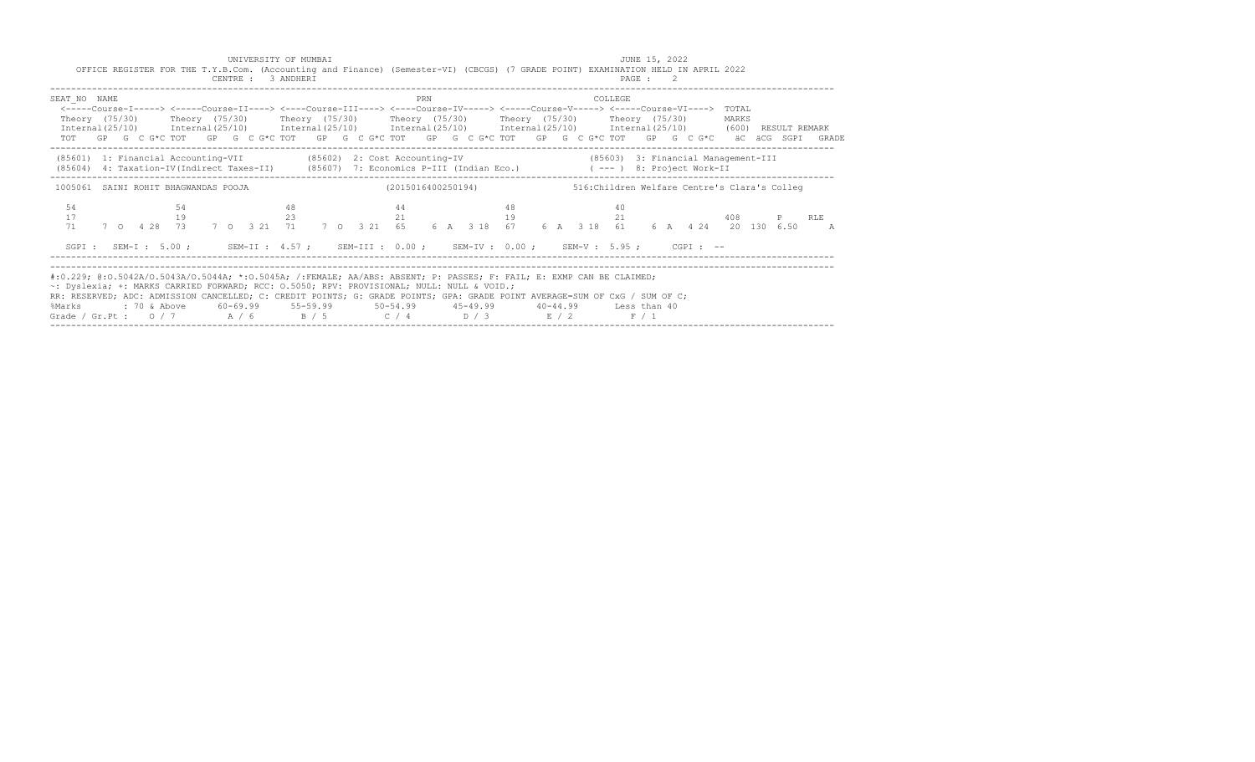|                                                                                                                                                                                                                                                                                                                                                                                                                                                                                              |  |    |  | UNIVERSITY OF MUMBAI<br>CENTRE : 3 ANDHERI |  | OFFICE REGISTER FOR THE T.Y.B.Com. (Accounting and Finance) (Semester-VI) (CBCGS) (7 GRADE POINT) EXAMINATION HELD IN APRIL 2022  |    |     |    |                                                                  |  |         | JUNE 15, 2022<br>PAGE : 2 |  |  |       |           |                                                                                                             |
|----------------------------------------------------------------------------------------------------------------------------------------------------------------------------------------------------------------------------------------------------------------------------------------------------------------------------------------------------------------------------------------------------------------------------------------------------------------------------------------------|--|----|--|--------------------------------------------|--|-----------------------------------------------------------------------------------------------------------------------------------|----|-----|----|------------------------------------------------------------------|--|---------|---------------------------|--|--|-------|-----------|-------------------------------------------------------------------------------------------------------------|
| SEAT NO NAME<br>Theory (75/30)  Theory (75/30)  Theory (75/30)  Theory (75/30)  Theory (75/30)  Theory (75/30)<br>Internal(25/10) Internal(25/10) Internal(25/10) Internal(25/10) Internal(25/10) Internal(25/10) (600) RESULT REMARK                                                                                                                                                                                                                                                        |  |    |  |                                            |  | <-----Course-I-----> <-----Course-II----> <----Course-III----> <----Course-IV-----> <----Course-V-----> <----Course-VI----> TOTAL |    | PRN |    |                                                                  |  | COLLEGE |                           |  |  | MARKS |           | TOT GP G C G*C TOT GP G C G*C TOT GP G C G*C TOT GP G C G*C TOT GP G C G*C TOT GP G C G*C äC äCG SGPI GRADE |
| (85601) 1: Financial Accounting-VII (85602) 2: Cost Accounting-IV (85603) 3: Financial Management-III<br>(85604) 4: Taxation-IV(Indirect Taxes-II) (85607) 7: Economics P-III (Indian Eco.) (---) 8: Project Work-II                                                                                                                                                                                                                                                                         |  |    |  |                                            |  |                                                                                                                                   |    |     |    |                                                                  |  |         |                           |  |  |       |           |                                                                                                             |
| 1005061 SAINI ROHIT BHAGWANDAS POOJA<br>54                                                                                                                                                                                                                                                                                                                                                                                                                                                   |  | 54 |  | 48                                         |  | 44                                                                                                                                |    |     | 48 | (2015016400250194) 516: Children Welfare Centre's Clara's Colleq |  |         | 40                        |  |  |       |           |                                                                                                             |
| 17<br>71                                                                                                                                                                                                                                                                                                                                                                                                                                                                                     |  | 19 |  | 23                                         |  | 7 0 4 28 73 7 0 3 21 71 7 0 3 21 65 6 A 3 18 67 6 A 3 18 61 6 A 4 24 20 130 6.50                                                  | 21 |     |    | 19                                                               |  |         | 21                        |  |  |       | 408 P RLE | $\overline{A}$                                                                                              |
|                                                                                                                                                                                                                                                                                                                                                                                                                                                                                              |  |    |  |                                            |  | SGPI: SEM-I: 5.00; SEM-II: 4.57; SEM-III: 0.00; SEM-IV: 0.00; SEM-V: 5.95; CGPI: --                                               |    |     |    |                                                                  |  |         |                           |  |  |       |           |                                                                                                             |
| #:0.229; @:0.5042A/O.5043A/O.5044A; *:0.5045A; /:FEMALE; AA/ABS: ABSENT; P: PASSES; F: FAIL; E: EXMP CAN BE CLAIMED;<br>~: Dyslexia; +: MARKS CARRIED FORWARD; RCC: 0.5050; RPV: PROVISIONAL; NULL: NULL & VOID.;<br>RR: RESERVED; ADC: ADMISSION CANCELLED; C: CREDIT POINTS; G: GRADE POINTS; GPA: GRADE POINT AVERAGE=SUM OF CxG / SUM OF C;<br>%Marks : 70 & Above 60-69.99 55-59.99 50-54.99 45-49.99 40-44.99 Less than 40<br>Grade / Gr.Pt: $0/7$ $A/6$ $B/5$ $C/4$ $D/3$ $E/2$ $F/1$ |  |    |  |                                            |  |                                                                                                                                   |    |     |    |                                                                  |  |         |                           |  |  |       |           |                                                                                                             |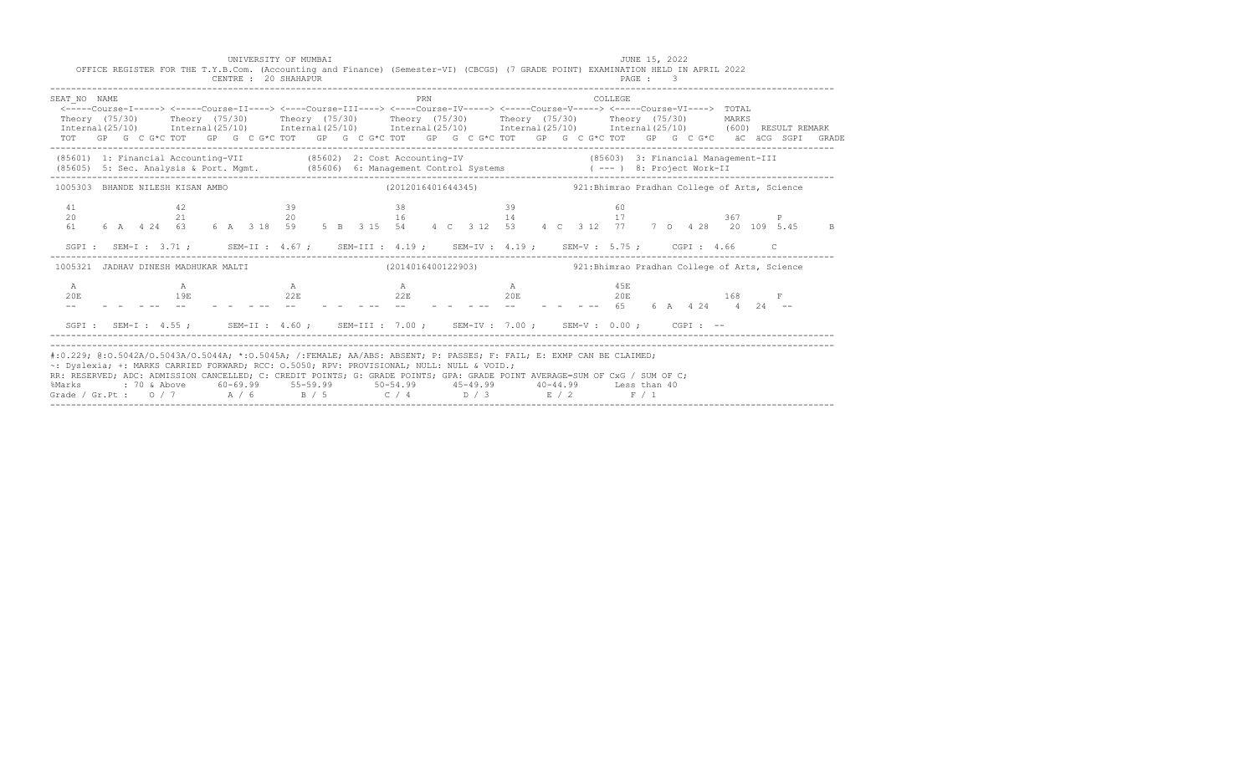|                                                                                           | CENTRE : 20 SHAHAPUR |     |                                                                                                                                                                                                                                                                                                                                                                                                                                                                                                                                            | PAGE : 3 |  |
|-------------------------------------------------------------------------------------------|----------------------|-----|--------------------------------------------------------------------------------------------------------------------------------------------------------------------------------------------------------------------------------------------------------------------------------------------------------------------------------------------------------------------------------------------------------------------------------------------------------------------------------------------------------------------------------------------|----------|--|
| SEAT NO NAME                                                                              |                      | PRN | COLLEGE<br><-----Course-I-----> <-----Course-II----> <----Course-III----> <----Course-IV-----> <-----Course-VI----> TOTAL<br>Theory (75/30) Theory (75/30) Theory (75/30) Theory (75/30) Theory (75/30) Theory (75/30) MARKS<br>$International (25/10)$ $International (25/10)$ $International (25/10)$ $International (25/10)$ $International (25/10)$ $International (25/10)$ $International (25/10)$ (600) RESULT REMARK<br>TOT GP G C G*C TOT GP G C G*C TOT GP G C G*C TOT GP G C G*C TOT GP G C G*C TOT GP G C G*C äC äCG SGPI GRADE |          |  |
|                                                                                           |                      |     | (85601) 1: Financial Accounting-VII (85602) 2: Cost Accounting-IV (85603) 3: Financial Management-III<br>(85605) 5: Sec. Analysis & Port. Mgmt. (85606) 6: Management Control Systems (---) 8: Project Work-II                                                                                                                                                                                                                                                                                                                             |          |  |
| 1005303 BHANDE NILESH KISAN AMBO                                                          |                      |     | (2012016401644345) 321:Bhimrao Pradhan College of Arts, Science                                                                                                                                                                                                                                                                                                                                                                                                                                                                            |          |  |
| 41<br>20<br>61 —                                                                          | $\sim$ 39            |     | 6 A 4 24 63 6 A 3 18 59 5 B 3 15 54 4 C 3 12 53 4 C 3 12 77 7 0 4 28 20 109 5.45 B                                                                                                                                                                                                                                                                                                                                                                                                                                                         |          |  |
|                                                                                           |                      |     | SGPI: SEM-I: 3.71; SEM-II: 4.67; SEM-III: 4.19; SEM-IV: 4.19; SEM-V: 5.75; CGPI: 4.66 C                                                                                                                                                                                                                                                                                                                                                                                                                                                    |          |  |
|                                                                                           |                      |     | 1005321 JADHAV DINESH MADHUKAR MALTI (2014016400122903) 321:Bhimrao Pradhan College of Arts, Science                                                                                                                                                                                                                                                                                                                                                                                                                                       |          |  |
| A<br>$\mathbb A$<br>20E<br>$  -$                                                          | $\mathbb A$          |     | $A$ and $A$ and $A$ and $A$ and $A$ and $A$ and $A$ and $A$ and $A$ and $A$ and $A$ and $A$ and $A$ and $A$ and $A$ and $A$ and $A$ and $A$ and $A$ and $A$ and $A$ and $A$ and $A$ and $A$ and $A$ and $A$ and $A$ and $A$ a                                                                                                                                                                                                                                                                                                              |          |  |
|                                                                                           |                      |     | SGPI: SEM-I: 4.55; SEM-II: 4.60; SEM-III: 7.00; SEM-IV: 7.00; SEM-V: 0.00; CGPI: --                                                                                                                                                                                                                                                                                                                                                                                                                                                        |          |  |
| ~: Dyslexia; +: MARKS CARRIED FORWARD; RCC: 0.5050; RPV: PROVISIONAL; NULL: NULL & VOID.; |                      |     | #:0.229; @:0.5042A/O.5043A/O.5044A; *:0.5045A; /:FEMALE; AA/ABS: ABSENT; P: PASSES; F: FAIL; E: EXMP CAN BE CLAIMED;<br>RR: RESERVED; ADC: ADMISSION CANCELLED; C: CREDIT POINTS; G: GRADE POINTS; GPA: GRADE POINT AVERAGE=SUM OF CxG / SUM OF C;<br>%Marks : 70 & Above 60-69.99 55-59.99 50-54.99 45-49.99 40-44.99 Less than 40<br>Grade / Gr.Pt: $0/7$ $A/6$ $B/5$ $C/4$ $D/3$ $E/2$ $F/1$                                                                                                                                            |          |  |

UNIVERSITY OF MUMBAI JUNE 15, 2022 OFFICE REGISTER FOR THE T.Y.B.Com. (Accounting and Finance) (Semester-VI) (CBCGS) (7 GRADE POINT) EXAMINATION HELD IN APRIL 2022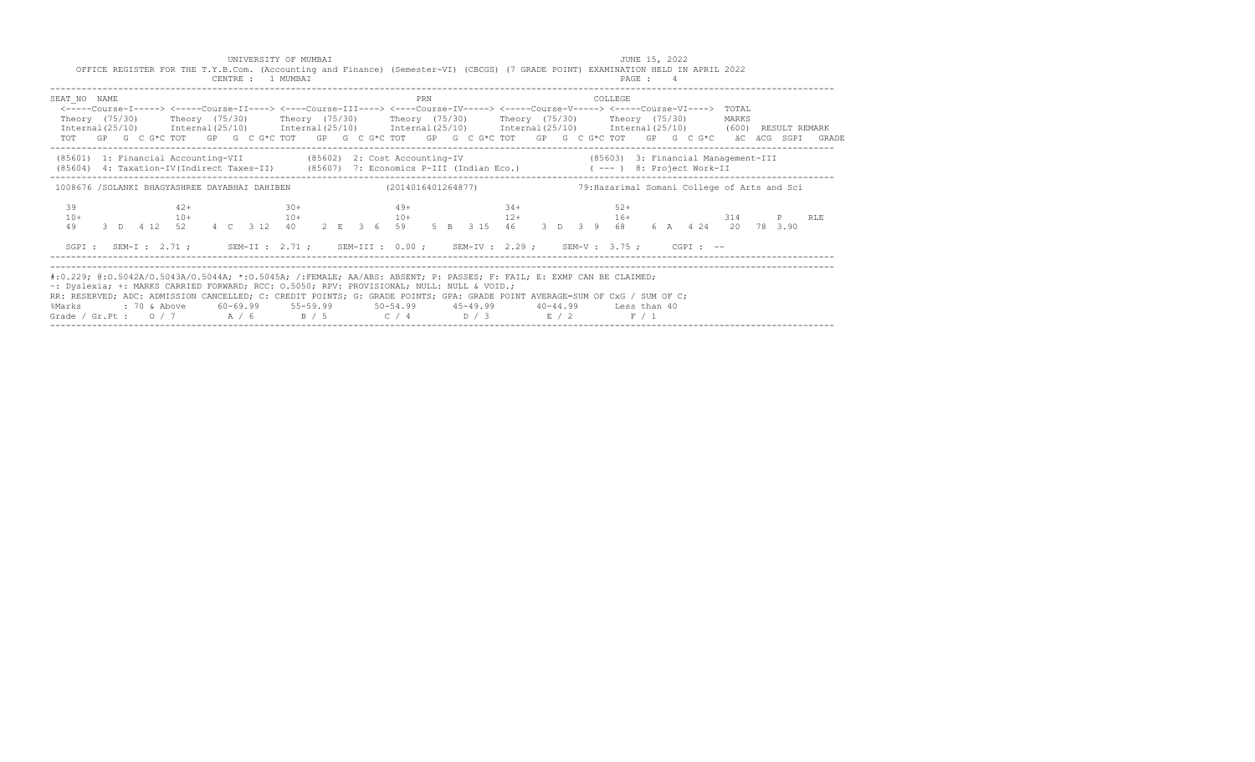| OFFICE REGISTER FOR THE T.Y.B.Com. (Accounting and Finance) (Semester-VI) (CBCGS) (7 GRADE POINT) EXAMINATION HELD IN APRIL 2022<br>CENTRE : 1 MUMBAI<br>PAGE: 4                                                                                                                                                                                                                                                                                                                                                           |       |
|----------------------------------------------------------------------------------------------------------------------------------------------------------------------------------------------------------------------------------------------------------------------------------------------------------------------------------------------------------------------------------------------------------------------------------------------------------------------------------------------------------------------------|-------|
| SEAT NO NAME<br>PRN<br>COLLEGE<br><-----Course-I-----> <-----Course-II----> <----Course-III----> <----Course-IV-----> <----Course-V-----> <----Course-VI----> TOTAL<br>Theory (75/30)  Theory (75/30)  Theory (75/30)  Theory (75/30)  Theory (75/30)  Theory (75/30)<br>MARKS<br>Internal (25/10) Internal (25/10) Internal (25/10) Internal (25/10) Internal (25/10) Internal (25/10) (600) RESULT REMARK<br>TOT GP G C G*C TOT GP G C G*C TOT GP G C G*C TOT GP G C G*C TOT GP G C G*C TOT GP G C G*C äC äCG SGPI GRADE |       |
| (85601) 1: Financial Accounting-VII (85602) 2: Cost Accounting-IV (85603) 3: Financial Management-III<br>(85604) 4: Taxation-IV(Indirect Taxes-II) (85607) 7: Economics P-III (Indian Eco.) (---) 8: Project Work-II                                                                                                                                                                                                                                                                                                       |       |
| 1008676 /SOLANKI BHAGYASHREE DAYABHAI DAHIBEN (2014016401264877)<br>79: Hazarimal Somani College of Arts and Sci                                                                                                                                                                                                                                                                                                                                                                                                           |       |
| 39<br>$34 +$<br>$42+$<br>$30+$<br>$49+$<br>$52+$<br>$16+$<br>$10+$<br>$10+$ $10+$ $10+$ $12+$<br>314 — 1<br>3 D   412   52   4   C   312   40   2   E   36   59   5   B   315   46   3   D   39   68<br>49<br>6 A 4 24 20 78 3.90                                                                                                                                                                                                                                                                                          | P RLE |
| SGPI: SEM-I: 2.71; SEM-II: 2.71; SEM-III: 0.00; SEM-IV: 2.29; SEM-V: 3.75; CGPI: --                                                                                                                                                                                                                                                                                                                                                                                                                                        |       |
| #:0.229; @:0.5042A/0.5043A/0.5044A; *:0.5045A; /:FEMALE; AA/ABS: ABSENT; P: PASSES; F: FAIL; E: EXMP CAN BE CLAIMED;<br>~: Dyslexia; +: MARKS CARRIED FORWARD; RCC: 0.5050; RPV: PROVISIONAL; NULL: NULL & VOID.;<br>RR: RESERVED; ADC: ADMISSION CANCELLED; C: CREDIT POINTS; G: GRADE POINTS; GPA: GRADE POINT AVERAGE=SUM OF CxG / SUM OF C;<br>%Marks<br>Grade / Gr.Pt : $0/7$ $A/6$ $B/5$ $C/4$ $D/3$ $E/2$<br>F / 1                                                                                                  |       |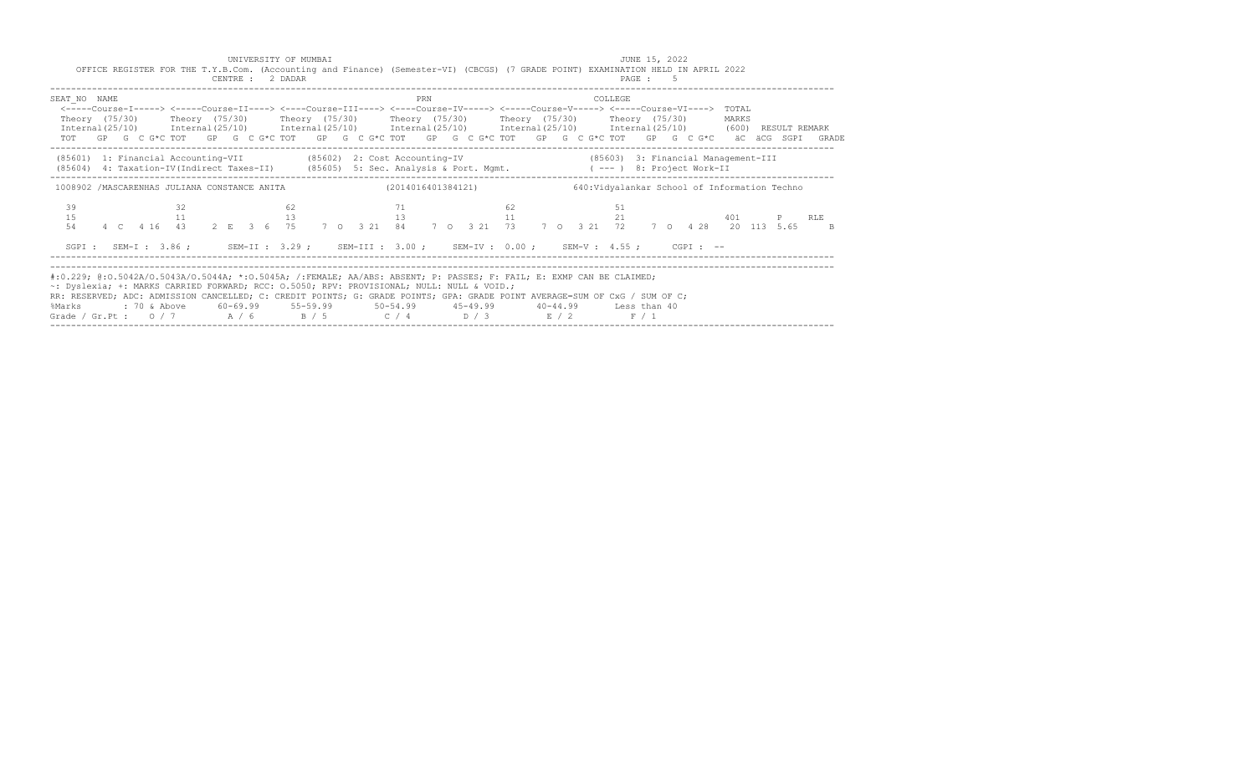|                            | UNIVERSITY OF MUMBAI<br>CENTRE : 2 DADAR                                                                                                                                                                                                                                |             | JUNE 15, 2022<br>OFFICE REGISTER FOR THE T.Y.B.Com. (Accounting and Finance) (Semester-VI) (CBCGS) (7 GRADE POINT) EXAMINATION HELD IN APRIL 2022<br>PAGE: 5                                                                                                                                                                                                                                                                                                                               |           |
|----------------------------|-------------------------------------------------------------------------------------------------------------------------------------------------------------------------------------------------------------------------------------------------------------------------|-------------|--------------------------------------------------------------------------------------------------------------------------------------------------------------------------------------------------------------------------------------------------------------------------------------------------------------------------------------------------------------------------------------------------------------------------------------------------------------------------------------------|-----------|
| SEAT NO NAME               |                                                                                                                                                                                                                                                                         | PRN         | COLLEGE<br><-----Course-I-----> <-----Course-II----> <----Course-III----> <----Course-IV-----> <----Course-V-----> <----Course-VI----> TOTAL<br>Theory (75/30)  Theory (75/30)  Theory (75/30)  Theory (75/30)  Theory (75/30)  Theory (75/30)<br>Internal (25/10) Internal (25/10) Internal (25/10) Internal (25/10) Internal (25/10) Internal (25/10) (600) RESULT REMARK<br>TOT GP G C G*C TOT GP G C G*C TOT GP G C G*C TOT GP G C G*C TOT GP G C G*C TOT GP G C G*C äC äCG SGPI GRADE | MARKS     |
|                            |                                                                                                                                                                                                                                                                         |             | (85601) 1: Financial Accounting-VII (85602) 2: Cost Accounting-IV (85603) 3: Financial Management-III<br>(85604) 4: Taxation-IV(Indirect Taxes-II) (85605) 5: Sec. Analysis & Port. Mgmt. (---) 8: Project Work-II                                                                                                                                                                                                                                                                         |           |
| 39<br>32<br>15<br>11<br>54 | 62<br>13                                                                                                                                                                                                                                                                | 71 62<br>13 | 1008902 /MASCARENHAS JULIANA CONSTANCE ANITA (2014016401384121) 640: Vidyalankar School of Information Techno<br>- 51<br>21<br>11<br>4 C 4 16 43 2 E 3 6 75 7 0 3 21 84 7 0 3 21 73 7 0 3 21 72 7 0 4 28 20 113 5.65 B                                                                                                                                                                                                                                                                     | 401 P RLE |
|                            |                                                                                                                                                                                                                                                                         |             | SGPI: SEM-I: 3.86; SEM-II: 3.29; SEM-III: 3.00; SEM-IV: 0.00; SEM-V: 4.55; CGPI: --                                                                                                                                                                                                                                                                                                                                                                                                        |           |
|                            | #:0.229; @:0.5042A/O.5043A/O.5044A; *:0.5045A; /:FEMALE; AA/ABS: ABSENT; P: PASSES; F: FAIL; E: EXMP CAN BE CLAIMED;<br>~: Dyslexia; +: MARKS CARRIED FORWARD; RCC: 0.5050; RPV: PROVISIONAL; NULL: NULL & VOID.;<br>Grade / Gr.Pt: $0/7$ $A/6$ $B/5$ $C/4$ $D/3$ $E/2$ |             | RR: RESERVED; ADC: ADMISSION CANCELLED; C: CREDIT POINTS; G: GRADE POINTS; GPA: GRADE POINT AVERAGE=SUM OF CxG / SUM OF C;<br>%Marks : 70 & Above 60-69.99 55-59.99 50-54.99 45-49.99 40-44.99 Less than 40<br>F / 1                                                                                                                                                                                                                                                                       |           |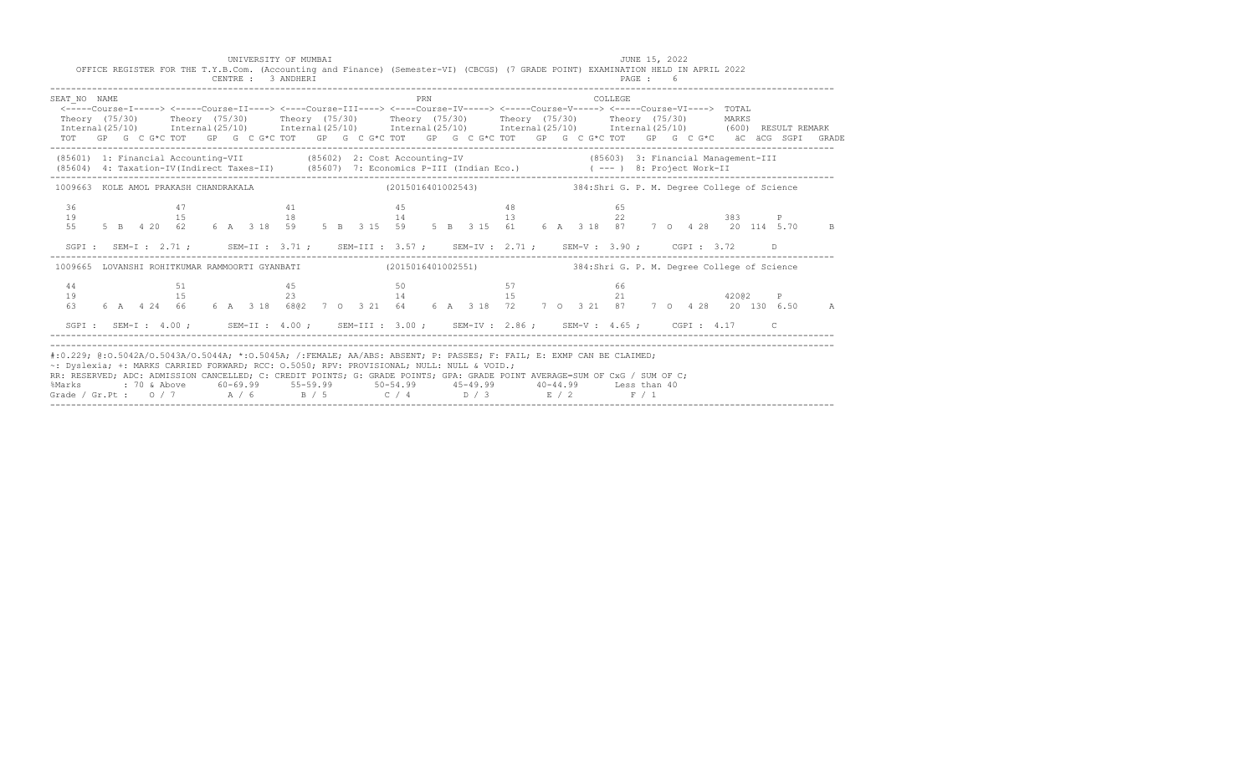| OFFICE REGISTER FOR THE T.Y.B.Com. (Accounting and Finance) (Semester-VI) (CBCGS) (7 GRADE POINT) EXAMINATION HELD IN APRIL 2022                                                                                                                                                                                                                                                                                                                                                               |    | UNIVERSITY OF MUMBAI<br>CENTRE : 3 ANDHERI                                                                                                                                                                                                                        |  |                        |     |    |  |          | JUNE 15, 2022<br>PAGE: 6 |    |       |    |  |
|------------------------------------------------------------------------------------------------------------------------------------------------------------------------------------------------------------------------------------------------------------------------------------------------------------------------------------------------------------------------------------------------------------------------------------------------------------------------------------------------|----|-------------------------------------------------------------------------------------------------------------------------------------------------------------------------------------------------------------------------------------------------------------------|--|------------------------|-----|----|--|----------|--------------------------|----|-------|----|--|
| SEAT NO NAME<br><----Course-I-----> <----Course-II----> <----Course-III----> <----Course-IV-----> <----Course-V-----> <----Course-VI----> TOTAL<br>Theory (75/30) Theory (75/30) Theory (75/30) Theory (75/30) Theory (75/30) Theory (75/30) MARKS<br>Internal (25/10) Internal (25/10) Internal (25/10) Internal (25/10) Internal (25/10) Internal (25/10) (600) RESULT REMARK<br>TOT GP G C G*C TOT GP G C G*C TOT GP G C G*C TOT GP G C G*C TOT GP G C G*C TOT GP G C G*C äC äCG SGPI GRADE |    |                                                                                                                                                                                                                                                                   |  |                        | PRN |    |  | COLLEGE. |                          |    |       |    |  |
| (85601) 1: Financial Accounting-VII (85602) 2: Cost Accounting-IV (85603) 3: Financial Management-III (85604) 4: Taxation-IV(Indirect Taxes-II) (85607) 7: Economics P-III (Indian Eco.) (---) 8: Project Work-II                                                                                                                                                                                                                                                                              |    |                                                                                                                                                                                                                                                                   |  |                        |     |    |  |          |                          |    |       |    |  |
| 1009663 KOLE AMOL PRAKASH CHANDRAKALA (2015016401002543) 384:Shri G. P. M. Degree College of Science                                                                                                                                                                                                                                                                                                                                                                                           |    |                                                                                                                                                                                                                                                                   |  |                        |     |    |  |          |                          |    |       |    |  |
| 36<br>19<br>55                                                                                                                                                                                                                                                                                                                                                                                                                                                                                 | 47 | 41 45<br>15<br>5 B 4 20 62 6 A 3 18 59 5 B 3 15 59 5 B 3 15 61 6 A 3 18 87 7 0 4 28 20 114 5.70 B                                                                                                                                                                 |  | $18$ and $14$ and $13$ |     | 48 |  |          | 65                       | 22 | 383 P |    |  |
| SGPI: SEM-I: 2.71; SEM-II: 3.71; SEM-III: 3.57; SEM-IV: 2.71; SEM-V: 3.90; CGPI: 3.72                                                                                                                                                                                                                                                                                                                                                                                                          |    |                                                                                                                                                                                                                                                                   |  |                        |     |    |  |          |                          |    |       | D. |  |
| 1009665 LOVANSHI ROHITKUMAR RAMMOORTI GYANBATI (2015016401002551) 384:Shri G. P. M. Degree College of Science                                                                                                                                                                                                                                                                                                                                                                                  |    |                                                                                                                                                                                                                                                                   |  |                        |     |    |  |          |                          |    |       |    |  |
| 44<br>19<br>63                                                                                                                                                                                                                                                                                                                                                                                                                                                                                 |    | $\begin{array}{ccccccccccc}\n51 & & & & & 45 & & & & 50 & & & & & 57 & & & & & 66 \\ 15 & & & & & & 23 & & & & 14 & & & & & 15 & & & & 21 & & & & & & 420@2\n\end{array}$<br>6 A 4 24 66 6 A 3 18 6802 7 0 3 21 64 6 A 3 18 72 7 0 3 21 87 7 0 4 28 20 130 6.50 A |  |                        |     |    |  |          |                          |    |       | P  |  |
| SGPI: SEM-I: 4.00; SEM-II: 4.00; SEM-III: 3.00; SEM-IV: 2.86; SEM-V: 4.65; CGPI: 4.17 C                                                                                                                                                                                                                                                                                                                                                                                                        |    |                                                                                                                                                                                                                                                                   |  |                        |     |    |  |          |                          |    |       |    |  |
| #:0.229; @:0.5042A/0.5043A/0.5044A; *:0.5045A; /:FEMALE; AA/ABS: ABSENT; P: PASSES; F: FAIL; E: EXMP CAN BE CLAIMED;<br>~: Dyslexia; +: MARKS CARRIED FORWARD; RCC: 0.5050; RPV: PROVISIONAL; NULL: NULL & VOID.;<br>RR: RESERVED; ADC: ADMISSION CANCELLED; C: CREDIT POINTS; G: GRADE POINTS; GPA: GRADE POINT AVERAGE=SUM OF CxG / SUM OF C;<br>%Marks<br>Grade / Gr.Pt: $0/7$ $A/6$ $B/5$ $C/4$ $D/3$ $E/2$ $F/1$                                                                          |    | : 70 & Above           60-69.99           55-59.99              50-54.99            45-49.99            40-44.99          Less than 40                                                                                                                            |  |                        |     |    |  |          |                          |    |       |    |  |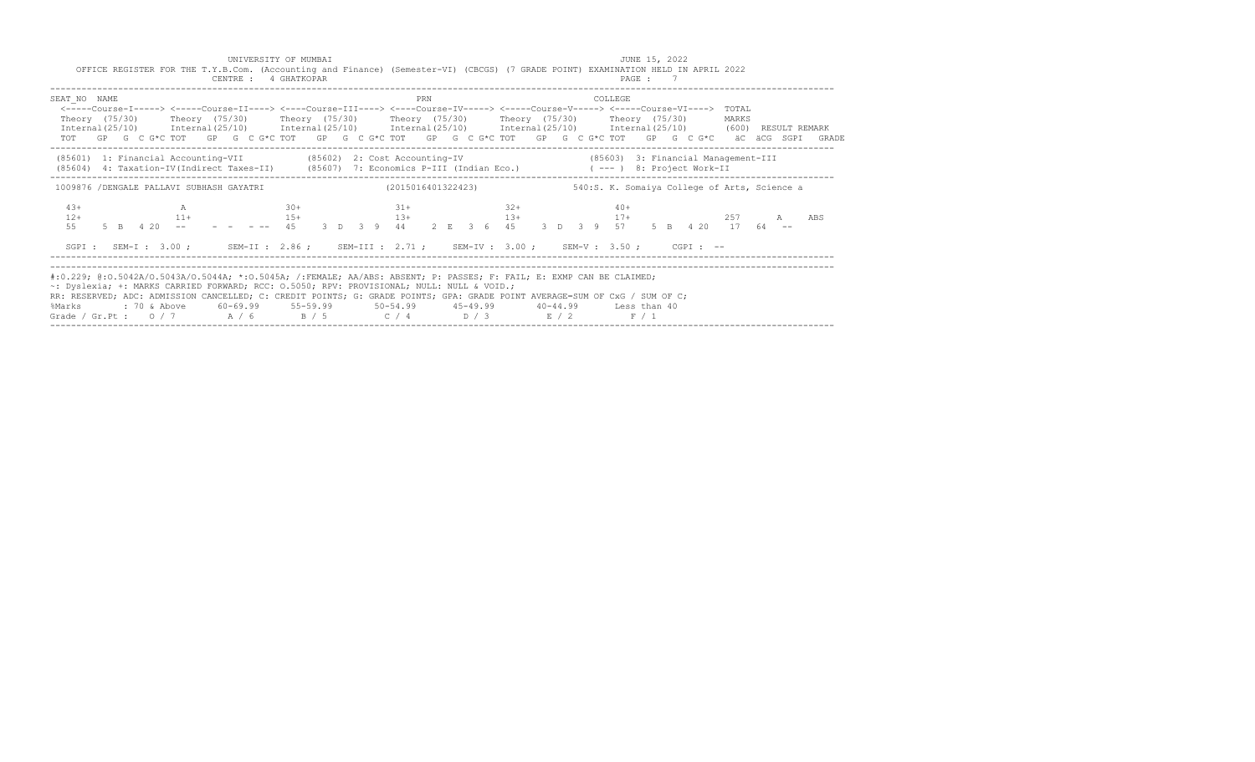| CENTRE : 4 GHATKOPAR                                                                                                                                                                                                                                                                                                                                                                                                                                                                           |                         | OFFICE REGISTER FOR THE T.Y.B.Com. (Accounting and Finance) (Semester-VI) (CBCGS) (7 GRADE POINT) EXAMINATION HELD IN APRIL 2022<br>PAGE: 7 |                  |
|------------------------------------------------------------------------------------------------------------------------------------------------------------------------------------------------------------------------------------------------------------------------------------------------------------------------------------------------------------------------------------------------------------------------------------------------------------------------------------------------|-------------------------|---------------------------------------------------------------------------------------------------------------------------------------------|------------------|
| SEAT NO NAME<br><-----Course-T-----> <-----Course-T----> <----Course-TIT----> <----Course-TV----> <-----Course-V----> <-----Course-VT----> TOTAL<br>Theory (75/30)  Theory (75/30)  Theory (75/30)  Theory (75/30)  Theory (75/30)  Theory (75/30)<br>Internal (25/10) Internal (25/10) Internal (25/10) Internal (25/10) Internal (25/10) Internal (25/10) (600) RESULT REMARK<br>TOT GP G C G*C TOT GP G C G*C TOT GP G C G*C TOT GP G C G*C TOT GP G C G*C TOT GP G C G*C äC äCG SGPI GRADE | PRN                     | COLLEGE                                                                                                                                     | MARKS            |
| (85601) 1: Financial Accounting-VII (85602) 2: Cost Accounting-IV<br>(85604) 4: Taxation-IV(Indirect Taxes-II) (85607) 7: Economics P-III (Indian Eco.) (---) 8: Project Work-II                                                                                                                                                                                                                                                                                                               |                         | (85603) 3: Financial Management-III                                                                                                         |                  |
| 1009876 /DENGALE PALLAVI SUBHASH GAYATRI                                                                                                                                                                                                                                                                                                                                                                                                                                                       | (2015016401322423)      | 540:S. K. Somaiya College of Arts, Science a                                                                                                |                  |
| $4.3+$<br>$\mathbb{A}$<br>$12+$<br>$5$ B $4$ 20 -- - - - - - 45<br>55                                                                                                                                                                                                                                                                                                                                                                                                                          | $32+$<br>$30+$<br>$31+$ | $40+$<br>$11+$ 15+ 13+ 13+ 13+ 13+ 13+ 17+<br>3 D 3 9 44 2 E 3 6 45 3 D 3 9 57 5 B 4 20 17 64 --                                            | 2.57<br>A<br>ABS |
|                                                                                                                                                                                                                                                                                                                                                                                                                                                                                                |                         | SGPI: SEM-I: 3.00; SEM-II: 2.86; SEM-III: 2.71; SEM-IV: 3.00; SEM-V: 3.50; CGPI: --                                                         |                  |
| #:0.229; @:0.5042A/0.5043A/0.5044A; *:0.5045A; /:FEMALE; AA/ABS: ABSENT; P: PASSES; F: FAIL; E: EXMP CAN BE CLAIMED;<br>~: Dyslexia; +: MARKS CARRIED FORWARD; RCC: 0.5050; RPV: PROVISIONAL; NULL: NULL & VOID.;<br>RR: RESERVED; ADC: ADMISSION CANCELLED; C: CREDIT POINTS; G: GRADE POINTS; GPA: GRADE POINT AVERAGE=SUM OF CxG / SUM OF C;<br>%Marks<br>Grade / Gr.Pt : $0/7$ $A/6$ $B/5$ $C/4$ $D/3$ $E/2$                                                                               |                         | F / 1                                                                                                                                       |                  |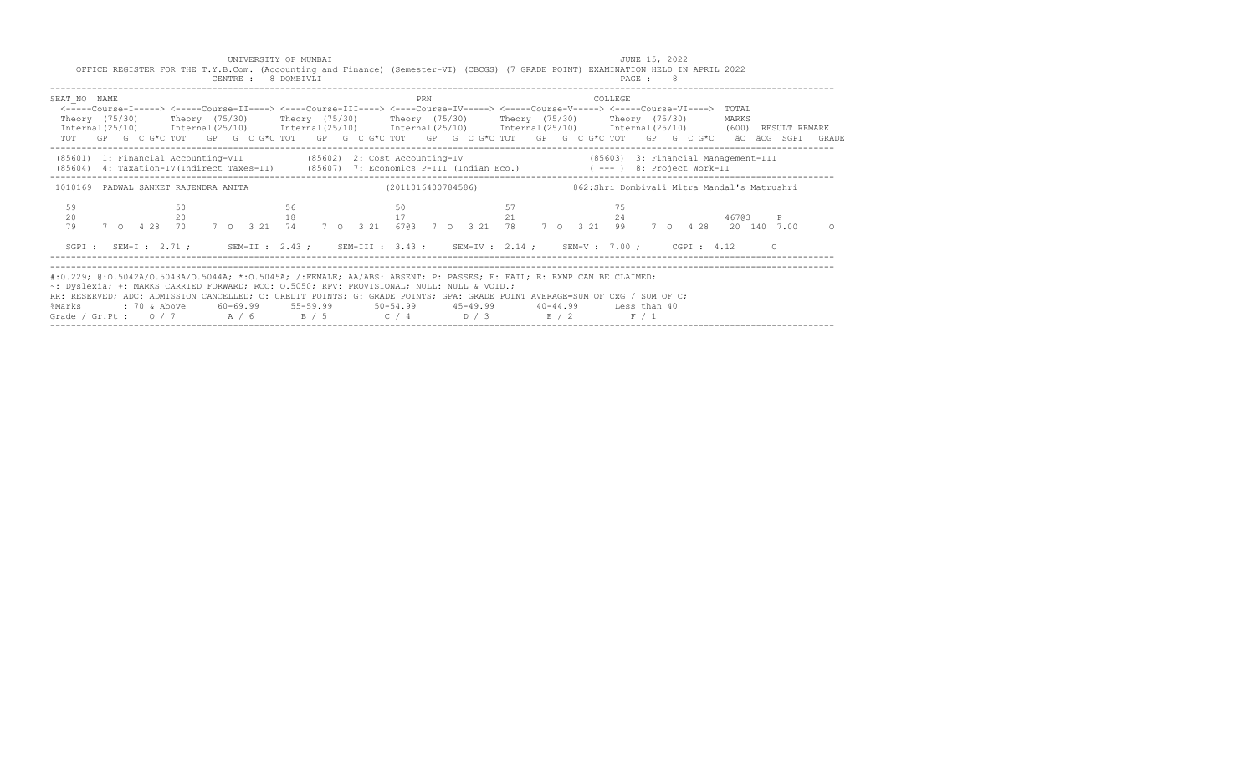| CENTRE : 8 DOMBIVLI                                                                                                                                                                                                                                                                                                                                                                                              |                      | OFFICE REGISTER FOR THE T.Y.B.Com. (Accounting and Finance) (Semester-VI) (CBCGS) (7 GRADE POINT) EXAMINATION HELD IN APRIL 2022<br>PAGE : 8                                                                                                                                                                                                                                                                                                                                               |                   |
|------------------------------------------------------------------------------------------------------------------------------------------------------------------------------------------------------------------------------------------------------------------------------------------------------------------------------------------------------------------------------------------------------------------|----------------------|--------------------------------------------------------------------------------------------------------------------------------------------------------------------------------------------------------------------------------------------------------------------------------------------------------------------------------------------------------------------------------------------------------------------------------------------------------------------------------------------|-------------------|
| SEAT NO NAME                                                                                                                                                                                                                                                                                                                                                                                                     | PRN                  | COLLEGE<br><-----Course-I-----> <-----Course-II----> <----Course-III----> <----Course-IV-----> <----Course-V-----> <----Course-VI----> TOTAL<br>Theory (75/30)  Theory (75/30)  Theory (75/30)  Theory (75/30)  Theory (75/30)  Theory (75/30)<br>Internal (25/10) Internal (25/10) Internal (25/10) Internal (25/10) Internal (25/10) Internal (25/10) (600) RESULT REMARK<br>TOT GP G C G*C TOT GP G C G*C TOT GP G C G*C TOT GP G C G*C TOT GP G C G*C TOT GP G C G*C äC äCG SGPI GRADE | MARKS             |
|                                                                                                                                                                                                                                                                                                                                                                                                                  |                      | (85601) 1: Financial Accounting-VII (85602) 2: Cost Accounting-IV (85603) 3: Financial Management-III<br>(85604) 4: Taxation-IV(Indirect Taxes-II) (85607) 7: Economics P-III (Indian Eco.) (---) 8: Project Work-II                                                                                                                                                                                                                                                                       |                   |
| 1010169 PADWAL SANKET RAJENDRA ANITA                                                                                                                                                                                                                                                                                                                                                                             | (2011016400784586)   | 862:Shri Dombivali Mitra Mandal's Matrushri                                                                                                                                                                                                                                                                                                                                                                                                                                                |                   |
| 59<br>50<br>20<br>$20 -$<br>7 0 4 28 70 7 0 3 21 74<br>79                                                                                                                                                                                                                                                                                                                                                        | 56<br>50<br>17<br>18 | 57<br>75<br>21<br>24<br>7 0 3 21 6703 7 0 3 21 78 7 0 3 21 99 7 0 4 28 20 140 7.00                                                                                                                                                                                                                                                                                                                                                                                                         | 46703<br>$\Omega$ |
|                                                                                                                                                                                                                                                                                                                                                                                                                  |                      | SGPI: SEM-I: 2.71; SEM-II: 2.43; SEM-III: 3.43; SEM-IV: 2.14; SEM-V: 7.00; CGPI: 4.12 C                                                                                                                                                                                                                                                                                                                                                                                                    |                   |
| #:0.229; @:0.5042A/0.5043A/0.5044A; *:0.5045A; /:FEMALE; AA/ABS: ABSENT; P: PASSES; F: FAIL; E: EXMP CAN BE CLAIMED;<br>~: Dyslexia; +: MARKS CARRIED FORWARD; RCC: 0.5050; RPV: PROVISIONAL; NULL: NULL & VOID.;<br>RR: RESERVED; ADC: ADMISSION CANCELLED; C: CREDIT POINTS; G: GRADE POINTS; GPA: GRADE POINT AVERAGE=SUM OF CxG / SUM OF C;<br>%Marks<br>Grade / Gr.Pt : $0/7$ $A/6$ $B/5$ $C/4$ $D/3$ $E/2$ |                      | F / 1                                                                                                                                                                                                                                                                                                                                                                                                                                                                                      |                   |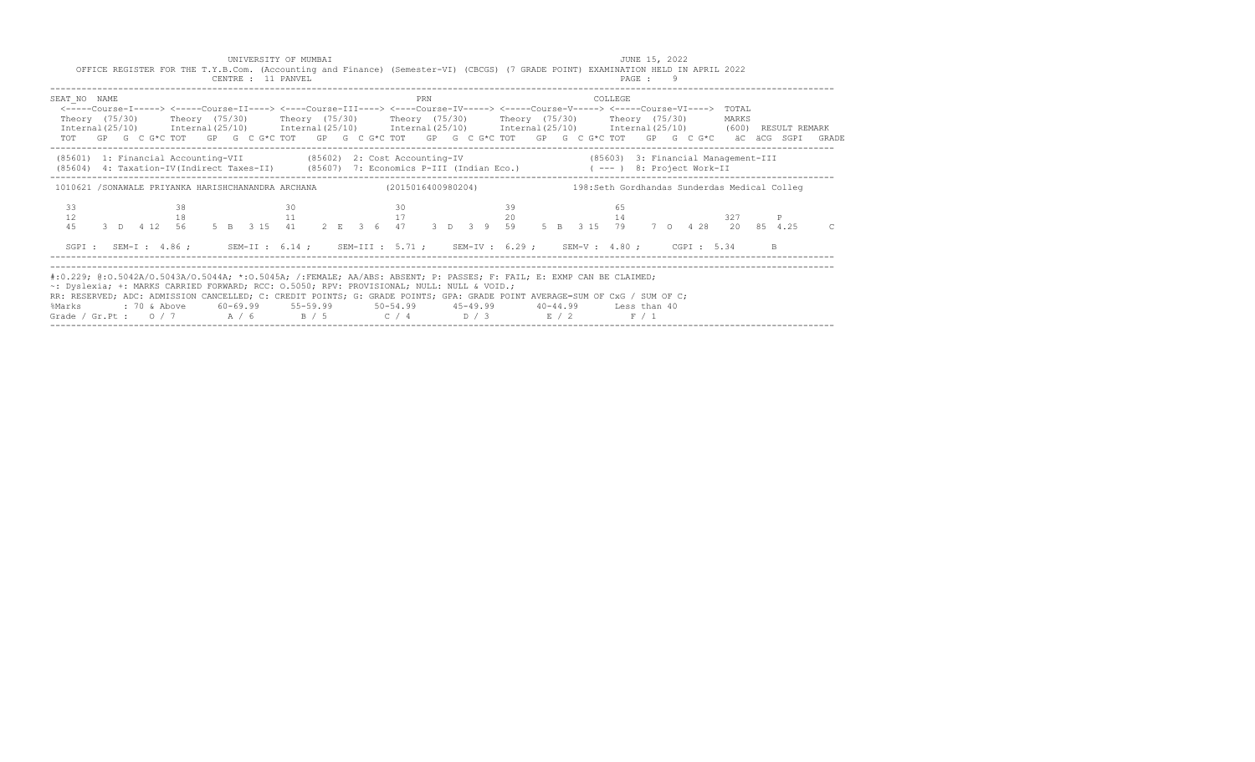| OFFICE REGISTER FOR THE T.Y.B.Com. (Accounting and Finance) (Semester-VI) (CBCGS) (7 GRADE POINT) EXAMINATION HELD IN APRIL 2022<br>CENTRE : 11 PANVEL                                                                                                                                                                                                                                                           | PAGE : 9                                                                                                                                                                             |
|------------------------------------------------------------------------------------------------------------------------------------------------------------------------------------------------------------------------------------------------------------------------------------------------------------------------------------------------------------------------------------------------------------------|--------------------------------------------------------------------------------------------------------------------------------------------------------------------------------------|
| SEAT NO NAME<br>PRN<br><-----Course-I-----> <-----Course-II----> <----Course-III----> <----Course-IV-----> <----Course-V-----> <----Course-VI----> TOTAL<br>Theory (75/30)   Theory (75/30)   Theory (75/30)   Theory (75/30)   Theory (75/30)   Theory (75/30)<br>Internal(25/10) Internal(25/10) Internal(25/10) Internal(25/10) Internal(25/10) Internal(25/10) (600) RESULT REMARK                           | COLLEGE<br>MARKS<br>TOT GP G C G*C TOT GP G C G*C TOT GP G C G*C TOT GP G C G*C TOT GP G C G*C TOT GP G C G*C äC äCG SGPI GRADE                                                      |
| (85601) 1: Financial Accounting-VII (85602) 2: Cost Accounting-IV (85603) 3: Financial Management-III<br>(85604) 4: Taxation-IV(Indirect Taxes-II) (85607) 7: Economics P-III (Indian Eco.) (---) 8: Project Work-II                                                                                                                                                                                             |                                                                                                                                                                                      |
| 1010621 /SONAWALE PRIYANKA HARISHCHANANDRA ARCHANA (2015016400980204) 198:Seth Gordhandas Sunderdas Medical Colleg                                                                                                                                                                                                                                                                                               |                                                                                                                                                                                      |
| 33<br>38<br>30<br>30<br>12<br>11 17 20<br>18<br>4.5                                                                                                                                                                                                                                                                                                                                                              | 39<br>65<br>14<br>327<br>3 D   4   12   56   5   B   3   15   41   2   E   3   6   47   3   D   3   9   59   5   B   3   15   79   7   0   4   28   20   85   4.25<br>$\overline{C}$ |
| SGPI: SEM-I: 4.86; SEM-II: 6.14; SEM-III: 5.71; SEM-IV: 6.29; SEM-V: 4.80; CGPI: 5.34                                                                                                                                                                                                                                                                                                                            | B.                                                                                                                                                                                   |
| #:0.229; @:0.5042A/0.5043A/0.5044A; *:0.5045A; /:FEMALE; AA/ABS: ABSENT; P: PASSES; F: FAIL; E: EXMP CAN BE CLAIMED;<br>~: Dyslexia; +: MARKS CARRIED FORWARD; RCC: 0.5050; RPV: PROVISIONAL; NULL: NULL & VOID.;<br>RR: RESERVED; ADC: ADMISSION CANCELLED; C: CREDIT POINTS; G: GRADE POINTS; GPA: GRADE POINT AVERAGE=SUM OF CxG / SUM OF C;<br>%Marks<br>Grade / Gr.Pt : $0/7$ $A/6$ $B/5$ $C/4$ $D/3$ $E/2$ | F / 1                                                                                                                                                                                |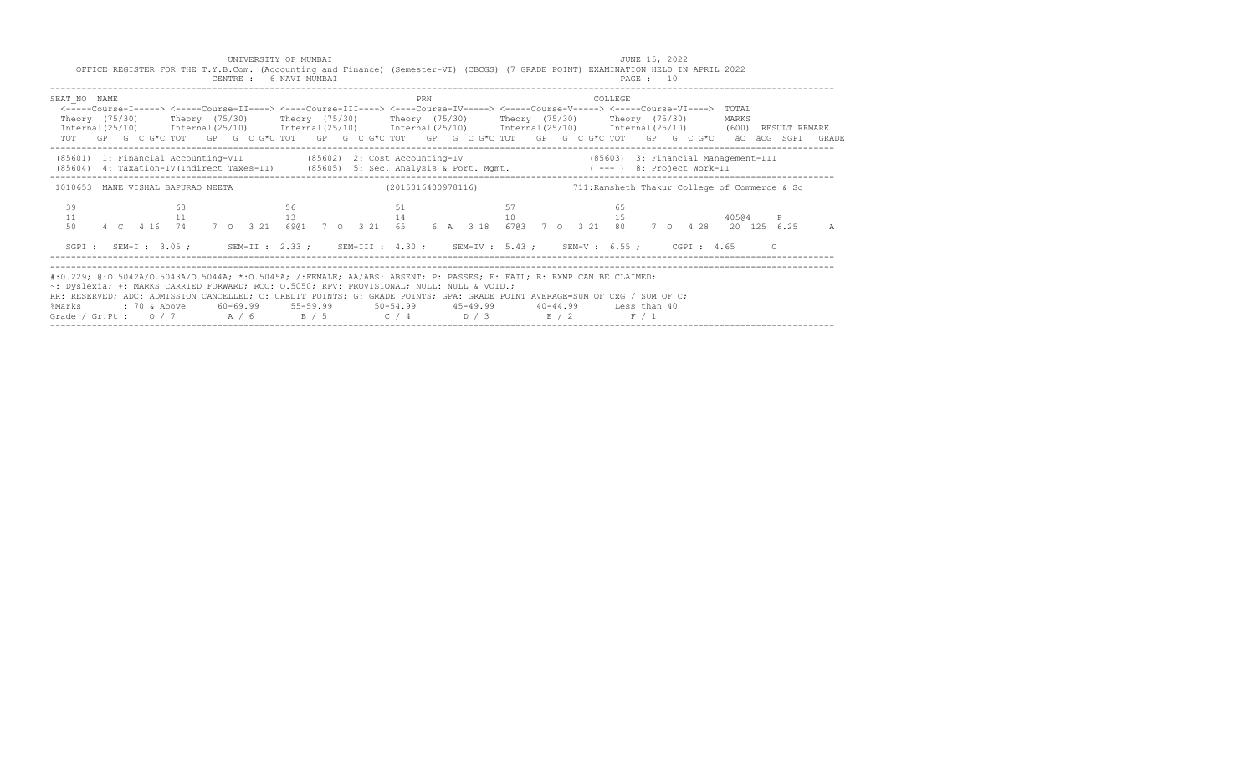| CENTRE : 6 NAVI MUMBAI                                                                                                                                                                                                                                                                                                                                                                                           |                    | OFFICE REGISTER FOR THE T.Y.B.Com. (Accounting and Finance) (Semester-VI) (CBCGS) (7 GRADE POINT) EXAMINATION HELD IN APRIL 2022<br>PAGE : 10                                                                                                                                                                                                                                                                                                                                              |            |
|------------------------------------------------------------------------------------------------------------------------------------------------------------------------------------------------------------------------------------------------------------------------------------------------------------------------------------------------------------------------------------------------------------------|--------------------|--------------------------------------------------------------------------------------------------------------------------------------------------------------------------------------------------------------------------------------------------------------------------------------------------------------------------------------------------------------------------------------------------------------------------------------------------------------------------------------------|------------|
| SEAT NO NAME                                                                                                                                                                                                                                                                                                                                                                                                     | PRN                | COLLEGE<br><-----Course-I-----> <-----Course-II----> <----Course-III----> <----Course-IV-----> <----Course-V-----> <----Course-VI----> TOTAL<br>Theory (75/30)  Theory (75/30)  Theory (75/30)  Theory (75/30)  Theory (75/30)  Theory (75/30)<br>Internal (25/10) Internal (25/10) Internal (25/10) Internal (25/10) Internal (25/10) Internal (25/10) (600) RESULT REMARK<br>TOT GP G C G*C TOT GP G C G*C TOT GP G C G*C TOT GP G C G*C TOT GP G C G*C TOT GP G C G*C äC äCG SGPI GRADE | MARKS      |
|                                                                                                                                                                                                                                                                                                                                                                                                                  |                    | (85601) 1: Financial Accounting-VII (85602) 2: Cost Accounting-IV (85603) 3: Financial Management-III<br>(85604) 4: Taxation-IV(Indirect Taxes-II) (85605) 5: Sec. Analysis & Port. Mgmt. (---) 8: Project Work-II                                                                                                                                                                                                                                                                         |            |
| 1010653 MANE VISHAL BAPURAO NEETA                                                                                                                                                                                                                                                                                                                                                                                | (2015016400978116) | 711: Ramsheth Thakur College of Commerce & Sc                                                                                                                                                                                                                                                                                                                                                                                                                                              |            |
| 39<br>63<br>11<br>11<br>50                                                                                                                                                                                                                                                                                                                                                                                       | 56<br>51<br>13     | 57<br>65<br>$14$ and $10$<br>15<br>4 C 4 16 74 7 O 3 21 6901 7 O 3 21 65 6 A 3 18 6703 7 O 3 21 80 7 O 4 28 20 125 6.25                                                                                                                                                                                                                                                                                                                                                                    | 40504<br>A |
|                                                                                                                                                                                                                                                                                                                                                                                                                  |                    | SGPI: SEM-I: 3.05; SEM-II: 2.33; SEM-III: 4.30; SEM-IV: 5.43; SEM-V: 6.55; CGPI: 4.65 C                                                                                                                                                                                                                                                                                                                                                                                                    |            |
| #:0.229; @:0.5042A/O.5043A/O.5044A; *:0.5045A; /:FEMALE; AA/ABS: ABSENT; P: PASSES; F: FAIL; E: EXMP CAN BE CLAIMED;<br>~: Dyslexia; +: MARKS CARRIED FORWARD; RCC: 0.5050; RPV: PROVISIONAL; NULL: NULL & VOID.;<br>RR: RESERVED; ADC: ADMISSION CANCELLED; C: CREDIT POINTS; G: GRADE POINTS; GPA: GRADE POINT AVERAGE=SUM OF CxG / SUM OF C;<br>%Marks<br>Grade / Gr.Pt : $0/7$ $A/6$ $B/5$ $C/4$ $D/3$ $E/2$ |                    | F / 1                                                                                                                                                                                                                                                                                                                                                                                                                                                                                      |            |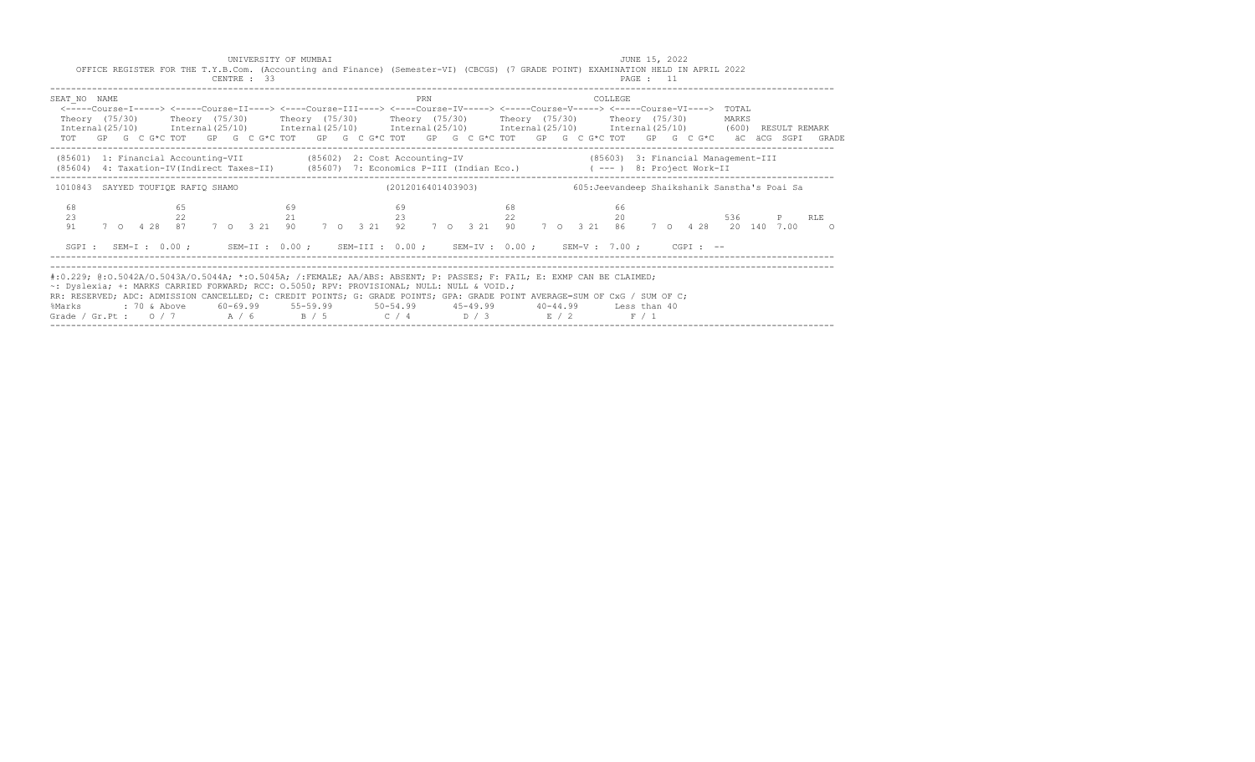| CENTRE : 33                                                                                         | OFFICE REGISTER FOR THE T.Y.B.Com. (Accounting and Finance) (Semester-VI) (CBCGS) (7 GRADE POINT) EXAMINATION HELD IN APRIL 2022                                                                                                                                                                                                                                                    | PAGE : 11                                                                                                                                                                                                                                                     |
|-----------------------------------------------------------------------------------------------------|-------------------------------------------------------------------------------------------------------------------------------------------------------------------------------------------------------------------------------------------------------------------------------------------------------------------------------------------------------------------------------------|---------------------------------------------------------------------------------------------------------------------------------------------------------------------------------------------------------------------------------------------------------------|
| SEAT NO NAME                                                                                        | PRN<br><----Course-I-----> <----Course-II----> <----Course-III----> <----Course-IV-----> <----Course-V-----> <----Course-VI----> TOTAL<br>Theory (75/30)  Theory (75/30)  Theory (75/30)  Theory (75/30)  Theory (75/30)  Theory (75/30)                                                                                                                                            | COLLEGE.<br>MARKS<br>Internal (25/10) Internal (25/10) Internal (25/10) Internal (25/10) Internal (25/10) Internal (25/10) (600) RESULT REMARK<br>TOT GP G C G*C TOT GP G C G*C TOT GP G C G*C TOT GP G C G*C TOT GP G C G*C TOT GP G C G*C äC äCG SGPI GRADE |
| (85601) 1: Financial Accounting-VII (85602) 2: Cost Accounting-IV                                   | (85604) 4: Taxation-IV(Indirect Taxes-II) (85607) 7: Economics P-III (Indian Eco.) (---) 8: Project Work-II                                                                                                                                                                                                                                                                         | (85603) 3: Financial Management-III                                                                                                                                                                                                                           |
| 1010843 SAYYED TOUFIQE RAFIQ SHAMO                                                                  | (2012016401403903)                                                                                                                                                                                                                                                                                                                                                                  | 605: Jeevandeep Shaikshanik Sanstha's Poai Sa                                                                                                                                                                                                                 |
| 68<br>65<br>69<br>23<br>22<br>7 0 4 28 87 7 0 3 21 90<br>91                                         | 68<br>69<br>23<br>22<br>21                                                                                                                                                                                                                                                                                                                                                          | 66<br>20<br>536 7<br>P RLE<br>7 0 3 21 92 7 0 3 21 90 7 0 3 21 86 7 0 4 28 20 140 7 00 0                                                                                                                                                                      |
|                                                                                                     | SGPI: SEM-I: 0.00; SEM-II: 0.00; SEM-III: 0.00; SEM-IV: 0.00; SEM-V: 7.00; CGPI: --                                                                                                                                                                                                                                                                                                 |                                                                                                                                                                                                                                                               |
| ~: Dyslexia; +: MARKS CARRIED FORWARD; RCC: 0.5050; RPV: PROVISIONAL; NULL: NULL & VOID.;<br>%Marks | #:0.229; @:0.5042A/O.5043A/O.5044A; *:0.5045A; /:FEMALE; AA/ABS: ABSENT; P: PASSES; F: FAIL; E: EXMP CAN BE CLAIMED;<br>RR: RESERVED; ADC: ADMISSION CANCELLED; C: CREDIT POINTS; G: GRADE POINTS; GPA: GRADE POINT AVERAGE=SUM OF CxG / SUM OF C;<br>: 70 & Above 60-69.99 55-59.99 50-54.99 45-49.99 40-44.99 Less than 40<br>Grade / Gr.Pt : $0/7$ $A/6$ $B/5$ $C/4$ $D/3$ $E/2$ | F / 1                                                                                                                                                                                                                                                         |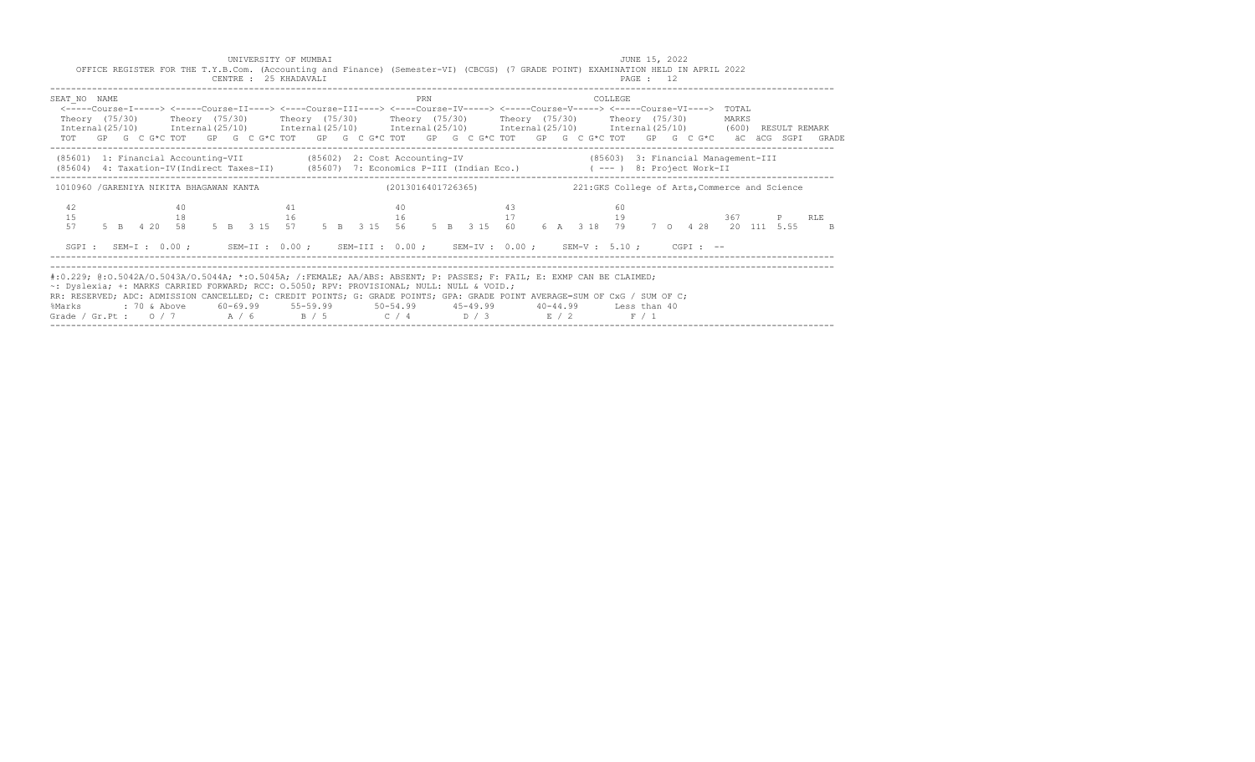| CENTRE : 25 KHADAVALI                                                                                                                                                                                                                                                                                                                                                                                            | OFFICE REGISTER FOR THE T.Y.B.Com. (Accounting and Finance) (Semester-VI) (CBCGS) (7 GRADE POINT) EXAMINATION HELD IN APRIL 2022                                                                                                                                                                                                                                                                                                                                                       | PAGE : 12                                                            |                         |
|------------------------------------------------------------------------------------------------------------------------------------------------------------------------------------------------------------------------------------------------------------------------------------------------------------------------------------------------------------------------------------------------------------------|----------------------------------------------------------------------------------------------------------------------------------------------------------------------------------------------------------------------------------------------------------------------------------------------------------------------------------------------------------------------------------------------------------------------------------------------------------------------------------------|----------------------------------------------------------------------|-------------------------|
| SEAT NO NAME                                                                                                                                                                                                                                                                                                                                                                                                     | PRN<br><-----Course-I-----> <-----Course-II----> <----Course-III----> <----Course-IV-----> <----Course-V-----> <----Course-VI----> TOTAL<br>Theory (75/30)  Theory (75/30)  Theory (75/30)  Theory (75/30)  Theory (75/30)  Theory (75/30)<br>Internal (25/10) Internal (25/10) Internal (25/10) Internal (25/10) Internal (25/10) Internal (25/10) (600) RESULT REMARK<br>TOT GP G C G*C TOT GP G C G*C TOT GP G C G*C TOT GP G C G*C TOT GP G C G*C TOT GP G C G*C äC äCG SGPI GRADE | COLLEGE                                                              | MARKS                   |
| (85601) 1: Financial Accounting-VII (85602) 2: Cost Accounting-IV                                                                                                                                                                                                                                                                                                                                                | (85604) 4: Taxation-IV(Indirect Taxes-II) (85607) 7: Economics P-III (Indian Eco.) (---) 8: Project Work-II                                                                                                                                                                                                                                                                                                                                                                            | (85603) 3: Financial Management-III                                  |                         |
| 1010960 /GARENIYA NIKITA BHAGAWAN KANTA (2013016401726365)                                                                                                                                                                                                                                                                                                                                                       |                                                                                                                                                                                                                                                                                                                                                                                                                                                                                        | 221: GKS College of Arts, Commerce and Science                       |                         |
| 42<br>40<br>15<br>18<br>16<br>5 B 4 20 58 5 B 3 15 57<br>57                                                                                                                                                                                                                                                                                                                                                      | 40<br>43<br>41<br>$16$ and $17$<br>SGPI: SEM-I: 0.00; SEM-II: 0.00; SEM-III: 0.00; SEM-IV: 0.00; SEM-V: 5.10; CGPI: --                                                                                                                                                                                                                                                                                                                                                                 | 60<br>19<br>5 B 3 15 56 5 B 3 15 60 6 A 3 18 79 7 0 4 28 20 111 5.55 | P RLE<br>$\overline{R}$ |
| #:0.229; @:0.5042A/O.5043A/O.5044A; *:0.5045A; /:FEMALE; AA/ABS: ABSENT; P: PASSES; F: FAIL; E: EXMP CAN BE CLAIMED;<br>~: Dyslexia; +: MARKS CARRIED FORWARD; RCC: 0.5050; RPV: PROVISIONAL; NULL: NULL & VOID.;<br>RR: RESERVED; ADC: ADMISSION CANCELLED; C: CREDIT POINTS; G: GRADE POINTS; GPA: GRADE POINT AVERAGE=SUM OF CxG / SUM OF C;<br>%Marks<br>Grade / Gr.Pt : $0/7$ $A/6$ $B/5$ $C/4$ $D/3$ $E/2$ |                                                                                                                                                                                                                                                                                                                                                                                                                                                                                        | F / 1                                                                |                         |